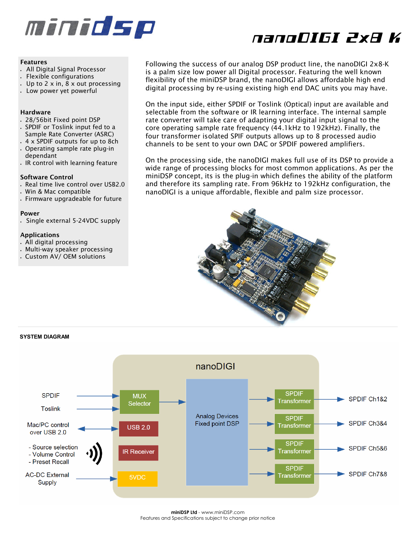

# nanoDIGI 2x8 K

#### **Features**

- *All Digital Signal Processor*
- *Flexible configurations*
- *Up to 2 x in, 8 x out processing*
- *Low power yet powerful*

### **Hardware**

- *28/56bit Fixed point DSP*
- *SPDIF or Toslink input fed to a*
- *Sample Rate Converter (ASRC)* • *4 x SPDIF outputs for up to 8ch*
- *Operating sample rate plug-in dependant*
- *IR control with learning feature*

## **Software Control**

- *Real time live control over USB2.0*
- *Win & Mac compatible*
- *Firmware upgradeable for future*

#### **Power**

• *Single external 5-24VDC supply* 

## **Applications**

- *All digital processing*
- *Multi-way speaker processing*
- *Custom AV/ OEM solutions*

*Following the success of our analog DSP product line, the nanoDIGI 2x8-K is a palm size low power all Digital processor. Featuring the well known flexibility of the miniDSP brand, the nanoDIGI allows affordable high end digital processing by re-using existing high end DAC units you may have.* 

*On the input side, either SPDIF or Toslink (Optical) input are available and selectable from the software or IR learning interface. The internal sample rate converter will take care of adapting your digital input signal to the core operating sample rate frequency (44.1kHz to 192kHz). Finally, the four transformer isolated SPIF outputs allows up to 8 processed audio channels to be sent to your own DAC or SPDIF powered amplifiers.* 

*On the processing side, the nanoDIGI makes full use of its DSP to provide a wide range of processing blocks for most common applications. As per the miniDSP concept, its is the plug-in which defines the ability of the platform and therefore its sampling rate. From 96kHz to 192kHz configuration, the nanoDIGI is a unique affordable, flexible and palm size processor.* 



## **SYSTEM DIAGRAM**



**miniDSP Ltd** - www.miniDSP.com Features and Specifications subject to change prior notice